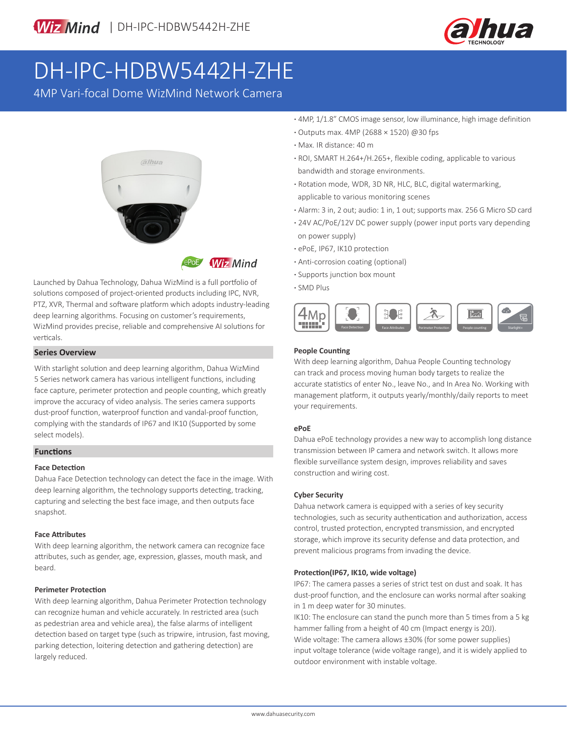

# DH-IPC-HDBW5442H-ZHE

4MP Vari-focal Dome WizMind Network Camera



Launched by Dahua Technology, Dahua WizMind is a full portfolio of solutions composed of project-oriented products including IPC, NVR, PTZ, XVR, Thermal and software platform which adopts industry-leading deep learning algorithms. Focusing on customer's requirements, WizMind provides precise, reliable and comprehensive AI solutions for verticals.

#### **Series Overview**

With starlight solution and deep learning algorithm, Dahua WizMind 5 Series network camera has various intelligent functions, including face capture, perimeter protection and people counting, which greatly improve the accuracy of video analysis. The series camera supports dust-proof function, waterproof function and vandal-proof function, complying with the standards of IP67 and IK10 (Supported by some select models).

#### **Functions**

#### **Face Detection**

Dahua Face Detection technology can detect the face in the image. With deep learning algorithm, the technology supports detecting, tracking, capturing and selecting the best face image, and then outputs face snapshot.

#### **Face Attributes**

With deep learning algorithm, the network camera can recognize face attributes, such as gender, age, expression, glasses, mouth mask, and beard.

#### **Perimeter Protection**

With deep learning algorithm, Dahua Perimeter Protection technology can recognize human and vehicle accurately. In restricted area (such as pedestrian area and vehicle area), the false alarms of intelligent detection based on target type (such as tripwire, intrusion, fast moving, parking detection, loitering detection and gathering detection) are largely reduced.

- **·** 4MP, 1/1.8" CMOS image sensor, low illuminance, high image definition
- **·** Outputs max. 4MP (2688 × 1520) @30 fps
- **·** Max. IR distance: 40 m
- **·** ROI, SMART H.264+/H.265+, flexible coding, applicable to various bandwidth and storage environments.
- **·** Rotation mode, WDR, 3D NR, HLC, BLC, digital watermarking, applicable to various monitoring scenes
- **·** Alarm: 3 in, 2 out; audio: 1 in, 1 out; supports max. 256 G Micro SD card
- **·** 24V AC/PoE/12V DC power supply (power input ports vary depending on power supply)
- **·** ePoE, IP67, IK10 protection
- **·** Anti-corrosion coating (optional)
- **·** Supports junction box mount
- **·** SMD Plus



#### **People Counting**

With deep learning algorithm, Dahua People Counting technology can track and process moving human body targets to realize the accurate statistics of enter No., leave No., and In Area No. Working with management platform, it outputs yearly/monthly/daily reports to meet your requirements.

#### **ePoE**

Dahua ePoE technology provides a new way to accomplish long distance transmission between IP camera and network switch. It allows more flexible surveillance system design, improves reliability and saves construction and wiring cost.

#### **Cyber Security**

Dahua network camera is equipped with a series of key security technologies, such as security authentication and authorization, access control, trusted protection, encrypted transmission, and encrypted storage, which improve its security defense and data protection, and prevent malicious programs from invading the device.

#### **Protection(IP67, IK10, wide voltage)**

IP67: The camera passes a series of strict test on dust and soak. It has dust-proof function, and the enclosure can works normal after soaking in 1 m deep water for 30 minutes.

IK10: The enclosure can stand the punch more than 5 times from a 5 kg hammer falling from a height of 40 cm (Impact energy is 20J). Wide voltage: The camera allows ±30% (for some power supplies) input voltage tolerance (wide voltage range), and it is widely applied to outdoor environment with instable voltage.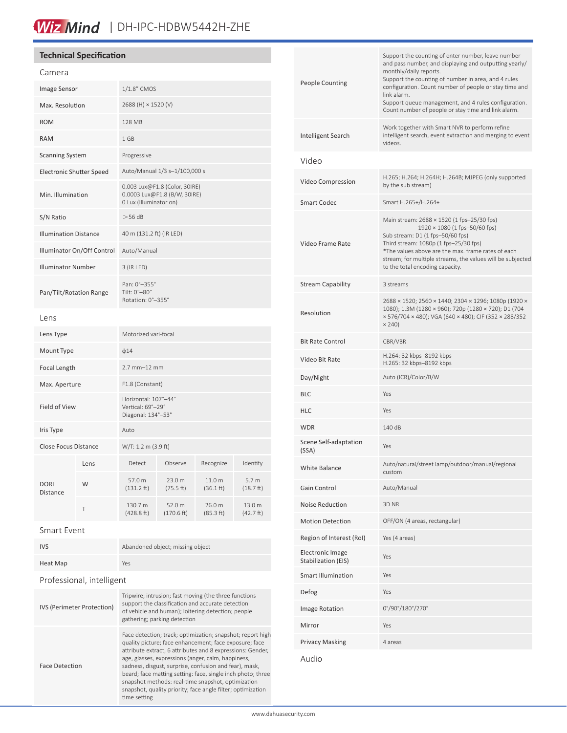### Wiz Mind | DH-IPC-HDBW5442H-ZHE

Face Detection

| <b>Technical Specification</b>  |                           |                                                                                                                      |                     |                                |                               |  |                                                | Support the counting of enter number, leave number<br>and pass number, and displaying and outputting yearly/<br>monthly/daily reports.<br>Support the counting of number in area, and 4 rules<br>configuration. Count number of people or stay time and<br>link alarm.<br>Support queue management, and 4 rules configuration.<br>Count number of people or stay time and link alarm. |
|---------------------------------|---------------------------|----------------------------------------------------------------------------------------------------------------------|---------------------|--------------------------------|-------------------------------|--|------------------------------------------------|---------------------------------------------------------------------------------------------------------------------------------------------------------------------------------------------------------------------------------------------------------------------------------------------------------------------------------------------------------------------------------------|
| Camera                          |                           |                                                                                                                      |                     |                                |                               |  |                                                |                                                                                                                                                                                                                                                                                                                                                                                       |
| Image Sensor                    |                           | $1/1.8$ " CMOS                                                                                                       |                     |                                |                               |  | People Counting                                |                                                                                                                                                                                                                                                                                                                                                                                       |
| Max. Resolution                 |                           | 2688 (H) × 1520 (V)                                                                                                  |                     |                                |                               |  |                                                |                                                                                                                                                                                                                                                                                                                                                                                       |
| <b>ROM</b>                      |                           | 128 MB                                                                                                               |                     |                                |                               |  | Intelligent Search                             | Work together with Smart NVR to perform refine                                                                                                                                                                                                                                                                                                                                        |
| <b>RAM</b>                      |                           | 1 GB                                                                                                                 |                     |                                |                               |  |                                                | intelligent search, event extraction and merging to event<br>videos.                                                                                                                                                                                                                                                                                                                  |
| <b>Scanning System</b>          |                           | Progressive                                                                                                          |                     |                                |                               |  | Video                                          |                                                                                                                                                                                                                                                                                                                                                                                       |
| <b>Electronic Shutter Speed</b> |                           | Auto/Manual 1/3 s-1/100,000 s                                                                                        |                     |                                |                               |  |                                                | H.265; H.264; H.264H; H.264B; MJPEG (only supported                                                                                                                                                                                                                                                                                                                                   |
| Min. Illumination               |                           | 0.003 Lux@F1.8 (Color, 30IRE)<br>0.0003 Lux@F1.8 (B/W, 30IRE)<br>0 Lux (Illuminator on)                              |                     |                                |                               |  | Video Compression<br>Smart Codec               | by the sub stream)<br>Smart H.265+/H.264+                                                                                                                                                                                                                                                                                                                                             |
| S/N Ratio                       |                           | $>56$ dB                                                                                                             |                     |                                |                               |  |                                                | Main stream: 2688 × 1520 (1 fps-25/30 fps)<br>$1920 \times 1080$ (1 fps-50/60 fps)<br>Sub stream: D1 (1 fps-50/60 fps)<br>Third stream: 1080p (1 fps-25/30 fps)<br>*The values above are the max. frame rates of each<br>stream; for multiple streams, the values will be subjected<br>to the total encoding capacity.                                                                |
| <b>Illumination Distance</b>    |                           | 40 m (131.2 ft) (IR LED)                                                                                             |                     |                                |                               |  | Video Frame Rate                               |                                                                                                                                                                                                                                                                                                                                                                                       |
| Illuminator On/Off Control      |                           | Auto/Manual                                                                                                          |                     |                                |                               |  |                                                |                                                                                                                                                                                                                                                                                                                                                                                       |
| <b>Illuminator Number</b>       |                           | 3 (IR LED)                                                                                                           |                     |                                |                               |  |                                                |                                                                                                                                                                                                                                                                                                                                                                                       |
| Pan/Tilt/Rotation Range         |                           | Pan: 0°-355°<br>Tilt: 0°-80°                                                                                         |                     |                                |                               |  | <b>Stream Capability</b>                       | 3 streams                                                                                                                                                                                                                                                                                                                                                                             |
| Lens                            |                           | Rotation: 0°-355°                                                                                                    |                     |                                |                               |  | Resolution                                     | 2688 × 1520; 2560 × 1440; 2304 × 1296; 1080p (1920 ×<br>1080); 1.3M (1280 × 960); 720p (1280 × 720); D1 (704<br>x 576/704 x 480); VGA (640 x 480); CIF (352 x 288/352<br>$\times$ 240)                                                                                                                                                                                                |
| Lens Type                       |                           | Motorized vari-focal                                                                                                 |                     |                                |                               |  | <b>Bit Rate Control</b>                        | CBR/VBR                                                                                                                                                                                                                                                                                                                                                                               |
| Mount Type                      |                           | $\phi$ 14                                                                                                            |                     |                                |                               |  | Video Bit Rate                                 | H.264: 32 kbps-8192 kbps                                                                                                                                                                                                                                                                                                                                                              |
| Focal Length                    |                           | 2.7 mm-12 mm                                                                                                         |                     |                                |                               |  |                                                | H.265: 32 kbps-8192 kbps                                                                                                                                                                                                                                                                                                                                                              |
| Max. Aperture                   |                           | F1.8 (Constant)                                                                                                      |                     |                                |                               |  | Day/Night                                      | Auto (ICR)/Color/B/W                                                                                                                                                                                                                                                                                                                                                                  |
| Field of View                   |                           | Horizontal: 107°-44°<br>Vertical: 69°-29°                                                                            |                     |                                |                               |  | <b>BLC</b>                                     | Yes                                                                                                                                                                                                                                                                                                                                                                                   |
|                                 |                           | Diagonal: 134°-53°                                                                                                   |                     |                                |                               |  | <b>HLC</b>                                     | Yes                                                                                                                                                                                                                                                                                                                                                                                   |
| Iris Type                       |                           | Auto                                                                                                                 |                     |                                |                               |  | <b>WDR</b>                                     | 140 dB                                                                                                                                                                                                                                                                                                                                                                                |
| Close Focus Distance            |                           | W/T: 1.2 m (3.9 ft)                                                                                                  |                     |                                |                               |  | Scene Self-adaptation<br>(SSA)                 | Yes                                                                                                                                                                                                                                                                                                                                                                                   |
|                                 | Lens                      | Detect                                                                                                               | Observe             | Recognize                      | Identify                      |  | White Balance                                  | Auto/natural/street lamp/outdoor/manual/regional<br>custom                                                                                                                                                                                                                                                                                                                            |
| <b>DORI</b><br>Distance         | W                         | 57.0 m<br>(131.2 ft)                                                                                                 | 23.0 m<br>(75.5 ft) | 11.0 <sub>m</sub><br>(36.1 ft) | 5.7 <sub>m</sub><br>(18.7 ft) |  | Gain Control                                   | Auto/Manual                                                                                                                                                                                                                                                                                                                                                                           |
|                                 | $\top$                    | 130.7 m                                                                                                              | 52.0 m              | 26.0 m                         | 13.0 m                        |  | Noise Reduction                                | 3D NR                                                                                                                                                                                                                                                                                                                                                                                 |
|                                 |                           | (428.8 ft)<br>(42.7 ft)<br>(170.6 ft)<br>(85.3 ft)                                                                   |                     |                                |                               |  | <b>Motion Detection</b>                        | OFF/ON (4 areas, rectangular)                                                                                                                                                                                                                                                                                                                                                         |
| Smart Event                     |                           |                                                                                                                      |                     |                                |                               |  | Region of Interest (RoI)                       | Yes (4 areas)                                                                                                                                                                                                                                                                                                                                                                         |
| IVS<br>Heat Map                 |                           | Abandoned object; missing object<br>Yes                                                                              |                     |                                |                               |  | <b>Electronic Image</b><br>Stabilization (EIS) | Yes                                                                                                                                                                                                                                                                                                                                                                                   |
|                                 | Professional, intelligent |                                                                                                                      |                     |                                |                               |  | <b>Smart Illumination</b>                      | Yes                                                                                                                                                                                                                                                                                                                                                                                   |
|                                 |                           | Tripwire; intrusion; fast moving (the three functions                                                                |                     |                                |                               |  | Defog                                          | Yes                                                                                                                                                                                                                                                                                                                                                                                   |
| IVS (Perimeter Protection)      |                           | support the classification and accurate detection<br>of vehicle and human); loitering detection; people              |                     |                                |                               |  | Image Rotation                                 | 0°/90°/180°/270°                                                                                                                                                                                                                                                                                                                                                                      |
|                                 |                           | gathering; parking detection                                                                                         |                     |                                |                               |  | Mirror                                         | Yes                                                                                                                                                                                                                                                                                                                                                                                   |
|                                 |                           | Face detection; track; optimization; snapshot; report high<br>quality picture; face enhancement; face exposure; face |                     |                                |                               |  | <b>Privacy Masking</b>                         | 4 areas                                                                                                                                                                                                                                                                                                                                                                               |

Audio

attribute extract, 6 attributes and 8 expressions: Gender, age, glasses, expressions (anger, calm, happiness, sadness, disgust, surprise, confusion and fear), mask, beard; face matting setting: face, single inch photo; three snapshot methods: real-time snapshot, optimization snapshot, quality priority; face angle filter; optimization

time setting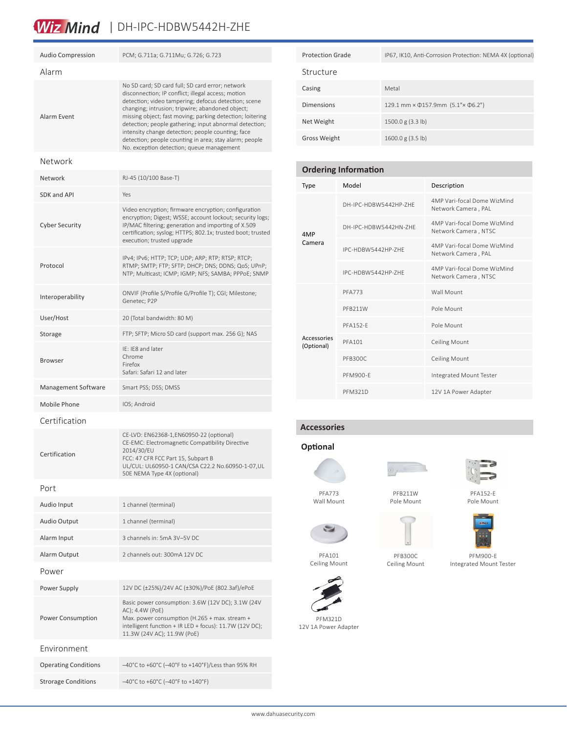### Wiz Mind | DH-IPC-HDBW5442H-ZHE

| <b>Audio Compression</b>    | PCM; G.711a; G.711Mu; G.726; G.723                                                                                                                                                                                                                                                                                                                                                                                                                                                                    |  |  |  |  |  |  |
|-----------------------------|-------------------------------------------------------------------------------------------------------------------------------------------------------------------------------------------------------------------------------------------------------------------------------------------------------------------------------------------------------------------------------------------------------------------------------------------------------------------------------------------------------|--|--|--|--|--|--|
| Alarm                       |                                                                                                                                                                                                                                                                                                                                                                                                                                                                                                       |  |  |  |  |  |  |
| Alarm Event                 | No SD card; SD card full; SD card error; network<br>disconnection; IP conflict; illegal access; motion<br>detection; video tampering; defocus detection; scene<br>changing; intrusion; tripwire; abandoned object;<br>missing object; fast moving; parking detection; loitering<br>detection; people gathering; input abnormal detection;<br>intensity change detection; people counting; face<br>detection; people counting in area; stay alarm; people<br>No. exception detection; queue management |  |  |  |  |  |  |
| Network                     |                                                                                                                                                                                                                                                                                                                                                                                                                                                                                                       |  |  |  |  |  |  |
| Network                     | RJ-45 (10/100 Base-T)                                                                                                                                                                                                                                                                                                                                                                                                                                                                                 |  |  |  |  |  |  |
| <b>SDK and API</b>          | Yes                                                                                                                                                                                                                                                                                                                                                                                                                                                                                                   |  |  |  |  |  |  |
| <b>Cyber Security</b>       | Video encryption; firmware encryption; configuration<br>encryption; Digest; WSSE; account lockout; security logs;<br>IP/MAC filtering; generation and importing of X.509<br>certification; syslog; HTTPS; 802.1x; trusted boot; trusted<br>execution; trusted upgrade                                                                                                                                                                                                                                 |  |  |  |  |  |  |
| Protocol                    | IPv4; IPv6; HTTP; TCP; UDP; ARP; RTP; RTSP; RTCP;<br>RTMP; SMTP; FTP; SFTP; DHCP; DNS; DDNS; QoS; UPnP;<br>NTP; Multicast; ICMP; IGMP; NFS; SAMBA; PPPoE; SNMP                                                                                                                                                                                                                                                                                                                                        |  |  |  |  |  |  |
| Interoperability            | ONVIF (Profile S/Profile G/Profile T); CGI; Milestone;<br>Genetec; P2P                                                                                                                                                                                                                                                                                                                                                                                                                                |  |  |  |  |  |  |
| User/Host                   | 20 (Total bandwidth: 80 M)                                                                                                                                                                                                                                                                                                                                                                                                                                                                            |  |  |  |  |  |  |
| Storage                     | FTP; SFTP; Micro SD card (support max. 256 G); NAS                                                                                                                                                                                                                                                                                                                                                                                                                                                    |  |  |  |  |  |  |
| Browser                     | IE: IE8 and later<br>Chrome<br>Firefox<br>Safari: Safari 12 and later                                                                                                                                                                                                                                                                                                                                                                                                                                 |  |  |  |  |  |  |
| Management Software         | Smart PSS; DSS; DMSS                                                                                                                                                                                                                                                                                                                                                                                                                                                                                  |  |  |  |  |  |  |
| Mobile Phone                | IOS; Android                                                                                                                                                                                                                                                                                                                                                                                                                                                                                          |  |  |  |  |  |  |
| Certification               |                                                                                                                                                                                                                                                                                                                                                                                                                                                                                                       |  |  |  |  |  |  |
| Certification               | CE-LVD: EN62368-1, EN60950-22 (optional)<br>CE-EMC: Electromagnetic Compatibility Directive<br>2014/30/EU<br>FCC: 47 CFR FCC Part 15, Subpart B<br>UL/CUL: UL60950-1 CAN/CSA C22.2 No.60950-1-07,UL<br>50E NEMA Type 4X (optional)                                                                                                                                                                                                                                                                    |  |  |  |  |  |  |
| Port                        |                                                                                                                                                                                                                                                                                                                                                                                                                                                                                                       |  |  |  |  |  |  |
| Audio Input                 | 1 channel (terminal)                                                                                                                                                                                                                                                                                                                                                                                                                                                                                  |  |  |  |  |  |  |
| Audio Output                | 1 channel (terminal)                                                                                                                                                                                                                                                                                                                                                                                                                                                                                  |  |  |  |  |  |  |
| Alarm Input                 | 3 channels in: 5mA 3V-5V DC                                                                                                                                                                                                                                                                                                                                                                                                                                                                           |  |  |  |  |  |  |
| Alarm Output                | 2 channels out: 300mA 12V DC                                                                                                                                                                                                                                                                                                                                                                                                                                                                          |  |  |  |  |  |  |
| Power                       |                                                                                                                                                                                                                                                                                                                                                                                                                                                                                                       |  |  |  |  |  |  |
| Power Supply                | 12V DC (±25%)/24V AC (±30%)/PoE (802.3af)/ePoE                                                                                                                                                                                                                                                                                                                                                                                                                                                        |  |  |  |  |  |  |
| Power Consumption           | Basic power consumption: 3.6W (12V DC); 3.1W (24V<br>AC); 4.4W (PoE)<br>Max. power consumption (H.265 + max. stream +<br>intelligent function + IR LED + focus): 11.7W (12V DC);<br>11.3W (24V AC); 11.9W (PoE)                                                                                                                                                                                                                                                                                       |  |  |  |  |  |  |
| Environment                 |                                                                                                                                                                                                                                                                                                                                                                                                                                                                                                       |  |  |  |  |  |  |
| <b>Operating Conditions</b> | -40°C to +60°C (-40°F to +140°F)/Less than 95% RH                                                                                                                                                                                                                                                                                                                                                                                                                                                     |  |  |  |  |  |  |
| <b>Strorage Conditions</b>  | $-40^{\circ}$ C to +60 $^{\circ}$ C (-40 $^{\circ}$ F to +140 $^{\circ}$ F)                                                                                                                                                                                                                                                                                                                                                                                                                           |  |  |  |  |  |  |

| <b>Protection Grade</b> | IP67, IK10, Anti-Corrosion Protection: NEMA 4X (optional) |  |  |
|-------------------------|-----------------------------------------------------------|--|--|
| Structure               |                                                           |  |  |
| Casing                  | Metal                                                     |  |  |
| <b>Dimensions</b>       | 129.1 mm × $\Phi$ 157.9mm (5.1"× $\Phi$ 6.2")             |  |  |
| Net Weight              | 1500.0 g (3.3 lb)                                         |  |  |
| <b>Gross Weight</b>     | 1600.0 g (3.5 lb)                                         |  |  |

| <b>Ordering Information</b> |                       |                                                     |  |  |  |  |
|-----------------------------|-----------------------|-----------------------------------------------------|--|--|--|--|
| <b>Type</b>                 | Model                 | Description                                         |  |  |  |  |
|                             | DH-IPC-HDBW5442HP-7HF | 4MP Vari-focal Dome WizMind<br>Network Camera, PAL  |  |  |  |  |
| 4MP                         | DH-IPC-HDBW5442HN-7HF | 4MP Vari-focal Dome WizMind<br>Network Camera, NTSC |  |  |  |  |
| Camera                      | IPC-HDBW5442HP-7HF    | 4MP Vari-focal Dome WizMind<br>Network Camera, PAL  |  |  |  |  |
|                             | IPC-HDBW5442HP-7HF    | 4MP Vari-focal Dome WizMind<br>Network Camera, NTSC |  |  |  |  |
|                             | PFA773                | Wall Mount                                          |  |  |  |  |
|                             | PFB211W               | Pole Mount                                          |  |  |  |  |
|                             | <b>PFA152-F</b>       | Pole Mount                                          |  |  |  |  |
| Accessories<br>(Optional)   | PFA101                | <b>Ceiling Mount</b>                                |  |  |  |  |
|                             | PFB300C               | <b>Ceiling Mount</b>                                |  |  |  |  |
|                             | PFM900-F              | Integrated Mount Tester                             |  |  |  |  |
|                             | <b>PFM321D</b>        | 12V 1A Power Adapter                                |  |  |  |  |

#### **Accessories**

### **Optional**





PFB211W Pole Mount



PFB300C Ceiling Mount



PFA101 Ceiling Mount

 $\bullet$ 

PFM321D 12V 1A Power Adapter







PFM900-E Integrated Mount Tester